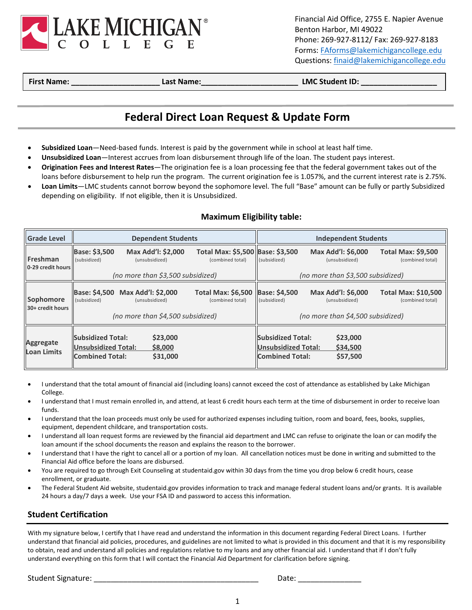

Financial Aid Office, 2755 E. Napier Avenue Benton Harbor, MI 49022 Phone: 269-927-8112/ Fax: 269-927-8183 Forms[: FAforms@lakemichigancollege.edu](mailto:FAforms@lakemichigancollege.edu) Questions: [finaid@lakemichigancollege.edu](mailto:finaid@lakemichigancollege.edu)

**First Name: \_\_\_\_\_\_\_\_\_\_\_\_\_\_\_\_\_\_\_\_\_ Last Name:\_\_\_\_\_\_\_\_\_\_\_\_\_\_\_\_\_\_\_\_\_\_\_ LMC Student ID: \_\_\_\_\_\_\_\_\_\_\_\_\_\_\_\_\_\_**

## **Federal Direct Loan Request & Update Form**

- **Subsidized Loan**—Need-based funds. Interest is paid by the government while in school at least half time.
- **Unsubsidized Loan**—Interest accrues from loan disbursement through life of the loan. The student pays interest.
- **Origination Fees and Interest Rates**—The origination fee is a loan processing fee that the federal government takes out of the loans before disbursement to help run the program. The current origination fee is 1.057%, and the current interest rate is 2.75%.
- **Loan Limits**—LMC students cannot borrow beyond the sophomore level. The full "Base" amount can be fully or partly Subsidized depending on eligibility. If not eligible, then it is Unsubsidized.

## **Maximum Eligibility table:**

| <b>Grade Level</b>                     | <b>Dependent Students</b>                                                 |                                                                           |                                                      | <b>Independent Students</b>                                                                                                                                         |                                      |                                               |
|----------------------------------------|---------------------------------------------------------------------------|---------------------------------------------------------------------------|------------------------------------------------------|---------------------------------------------------------------------------------------------------------------------------------------------------------------------|--------------------------------------|-----------------------------------------------|
| Freshman<br>0-29 credit hours          | <b>Base: \$3,500</b><br>(subsidized)                                      | Max Add'l: \$2,000<br>(unsubsidized)                                      | Total Max: \$5,500 Base: \$3,500<br>(combined total) | (subsidized)                                                                                                                                                        | Max Add'l: \$6,000<br>(unsubsidized) | <b>Total Max: \$9,500</b><br>(combined total) |
|                                        | (no more than \$3,500 subsidized)                                         |                                                                           |                                                      | (no more than \$3,500 subsidized)                                                                                                                                   |                                      |                                               |
| Sophomore<br>30+ credit hours          | Base: \$4,500<br>(subsidized)                                             | Max Add'l: \$2,000<br>(unsubsidized)<br>(no more than \$4,500 subsidized) | <b>Total Max: \$6,500</b><br>(combined total)        | <b>Base: \$4,500</b><br>Max Add'l: \$6,000<br><b>Total Max: \$10,500</b><br>(subsidized)<br>(unsubsidized)<br>(combined total)<br>(no more than \$4,500 subsidized) |                                      |                                               |
| <b>Aggregate</b><br><b>Loan Limits</b> | <b>Subsidized Total:</b><br>Unsubsidized Total:<br><b>Combined Total:</b> | \$23,000<br>\$8,000<br>\$31,000                                           |                                                      | <b>Subsidized Total:</b><br><b>Unsubsidized Total:</b><br><b>Combined Total:</b>                                                                                    | \$23,000<br>\$34,500<br>\$57,500     |                                               |

- I understand that the total amount of financial aid (including loans) cannot exceed the cost of attendance as established by Lake Michigan College.
- I understand that I must remain enrolled in, and attend, at least 6 credit hours each term at the time of disbursement in order to receive loan funds.
- I understand that the loan proceeds must only be used for authorized expenses including tuition, room and board, fees, books, supplies, equipment, dependent childcare, and transportation costs.
- I understand all loan request forms are reviewed by the financial aid department and LMC can refuse to originate the loan or can modify the loan amount if the school documents the reason and explains the reason to the borrower.
- I understand that I have the right to cancel all or a portion of my loan. All cancellation notices must be done in writing and submitted to the Financial Aid office before the loans are disbursed.
- You are required to go through Exit Counseling at studentaid.gov within 30 days from the time you drop below 6 credit hours, cease enrollment, or graduate.
- The Federal Student Aid website, studentaid.gov provides information to track and manage federal student loans and/or grants. It is available 24 hours a day/7 days a week. Use your FSA ID and password to access this information.

## **Student Certification**

With my signature below, I certify that I have read and understand the information in this document regarding Federal Direct Loans. I further understand that financial aid policies, procedures, and guidelines are not limited to what is provided in this document and that it is my responsibility to obtain, read and understand all policies and regulations relative to my loans and any other financial aid. I understand that if I don't fully understand everything on this form that I will contact the Financial Aid Department for clarification before signing.

Student Signature: \_\_\_\_\_\_\_\_\_\_\_\_\_\_\_\_\_\_\_\_\_\_\_\_\_\_\_\_\_\_\_\_\_\_\_\_\_\_\_ Date: \_\_\_\_\_\_\_\_\_\_\_\_\_\_\_

1